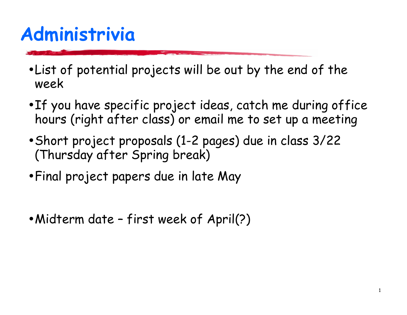# Administrivia

- . List of potential projects will be out by the end of the week
- If you have specific project ideas, catch me during office hours (right after class) or email me to set up a meeting
- Short project proposals (1-2 pages) due in class 3/22 (Thursday after Spring break)
- Final project papers due in late May
- Midterm date first week of April(?)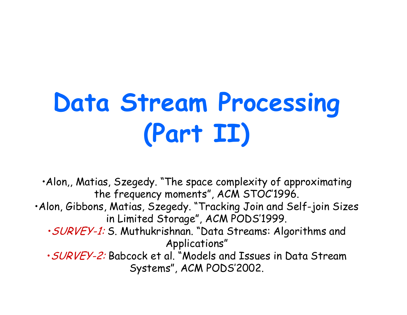# **Data Stream Processing** (Part II)

. Alon,, Matias, Szegedy. "The space complexity of approximating the frequency moments", ACM STOC'1996.

- . Alon, Gibbons, Matias, Szegedy. "Tracking Join and Self-join Sizes in Limited Storage", ACM PODS'1999.
	- · SURVEY-1: S. Muthukrishnan. "Data Streams: Algorithms and Applications"
	- . SURVEY-2: Babcock et al. "Models and Issues in Data Stream Systems", ACM PODS'2002.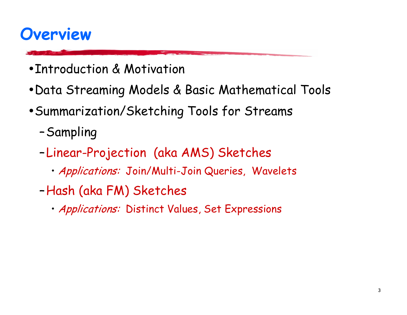### **Overview**

- Introduction & Motivation
- Data Streaming Models & Basic Mathematical Tools
- Summarization/Sketching Tools for Streams
	- -Sampling
	- -Linear-Projection (aka AMS) Sketches
		- · Applications: Join/Multi-Join Queries, Wavelets
	- -Hash (aka FM) Sketches
		- · Applications: Distinct Values, Set Expressions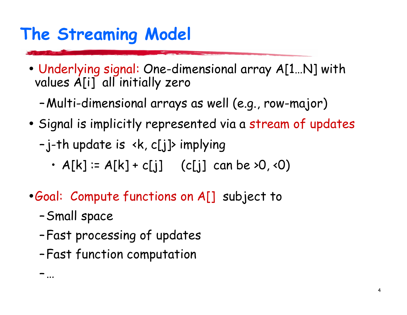# The Streaming Model

- Underlying signal: One-dimensional array A[1...N] with values A[i] all initially zero
	- -Multi-dimensional arrays as well (e.g., row-major)
- Signal is implicitly represented via a stream of updates

-j-th update is <k, c[j]> implying

- $A[k] := A[k] + c[j]$  (c[j] can be >0, <0)
- Goal: Compute functions on A[] subject to
	- -Small space

一 …

- -Fast processing of updates
- -Fast function computation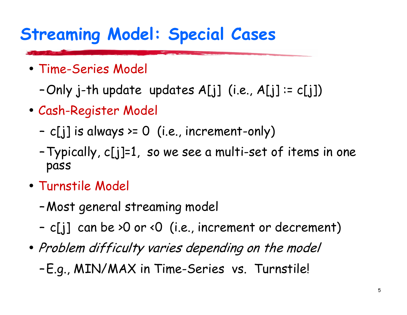# **Streaming Model: Special Cases**

- Time-Series Model
	- -Only j-th update updates  $A[j]$  (i.e.,  $A[j]$  :=  $c[j]$ )
- Cash-Register Model
	- c[j] is always >=  $0$  (i.e., increment-only)
	- Typically, c[j]=1, so we see a multi-set of items in one pass
- Turnstile Model
	- -Most general streaming model
	- c[j] can be >0 or <0 (i.e., increment or decrement)
- Problem difficulty varies depending on the model
	- -E.g., MIN/MAX in Time-Series vs. Turnstile!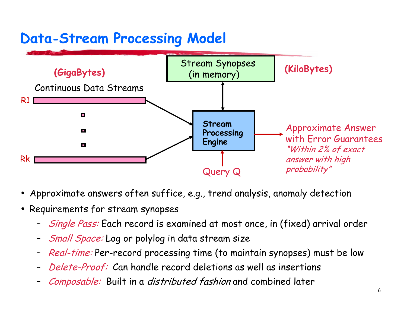#### **Data-Stream Processing Model**



- Approximate answers often suffice, e.g., trend analysis, anomaly detection
- Requirements for stream synopses
	- *Single Pass:* Each record is examined at most once, in (fixed) arrival order
	- Small Space: Log or polylog in data stream size
	- Real-time: Per-record processing time (to maintain synopses) must be low
	- Delete-Proof: Can handle record deletions as well as insertions
	- Composable: Built in a distributed fashion and combined later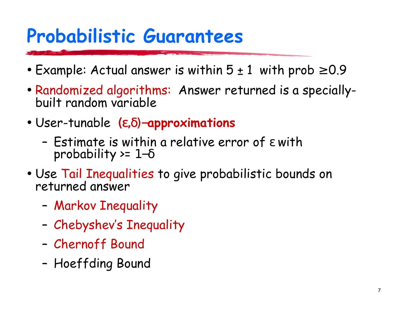# **Probabilistic Guarantees**

- Example: Actual answer is within  $5 \pm 1$  with prob  $\ge 0.9$
- Randomized algorithms: Answer returned is a speciallybuilt random variable
- User-tunable  $(\epsilon, \delta)$ -approximations
	- Estimate is within a relative error of  $\varepsilon$  with probability >=  $1-\delta$
- Use Tail Inequalities to give probabilistic bounds on returned answer
	- Markov Inequality
	- Chebyshev's Inequality
	- Chernoff Bound
	- Hoeffding Bound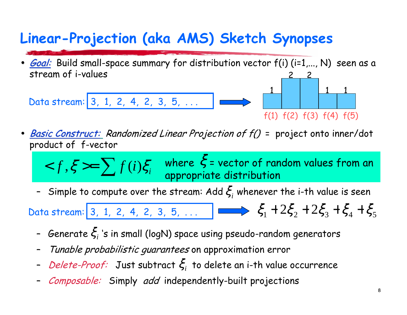#### Linear-Projection (aka AMS) Sketch Synopses

Goal: Build small-space summary for distribution vector f(i) (i=1,..., N) seen as a stream of i-values

Data stream: 3, 1, 2, 4, 2, 3, 5, ...

 $f(1) f(2) f(3) f(4) f(5)$ 

- **Basic Construct:** Randomized Linear Projection of  $f()$  = project onto inner/dot product of f-vector
	- $< f, \xi >= \sum f(i) \xi_i$  where  $\xi$  = vector of random values from an appropriate distribution
	- Simple to compute over the stream: Add  $\xi$ , whenever the i-th value is seen

Data stream: 3, 1, 2, 4, 2, 3, 5, ...  $\Box$   $\Longleftrightarrow$   $\xi_1 + 2\xi_2 + 2\xi_3 + \xi_4 + \xi_5$ 

- Generate  $\xi_i$  's in small (logN) space using pseudo-random generators
- Tunable probabilistic guarantees on approximation error
- *Delete-Proof:* Just subtract  $\xi$ , to delete an i-th value occurrence
- Composable: Simply add independently-built projections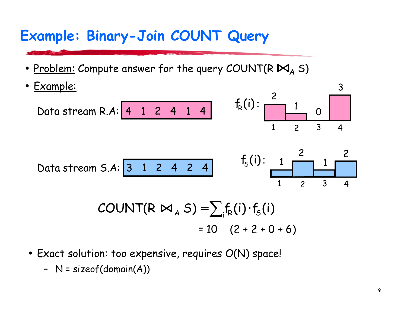#### Example: Binary-Join COUNT Query

• Problem: Compute answer for the query COUNT(R  $M_A$  S)

• Example:  
\nData stream R.A: 
$$
\begin{array}{|c|c|c|c|c|c|c|c|} \hline 1 & 0 & 3 \\ \hline & 1 & 2 & 3 & 4 \\ \hline & 1 & 2 & 3 & 4 \\ \hline \end{array}
$$
  
\nData stream S.A:  $\begin{array}{|c|c|c|c|c|c|} \hline 3 & 1 & 2 & 4 & 2 & 4 \\ \hline & 1 & 2 & 3 & 4 \\ \hline & & 1 & 2 & 3 & 4 \\ \hline & & 1 & 2 & 3 & 4 \\ \hline \end{array}$   
\n
$$
COUNT(R \bowtie_A S) = \sum_{i} f_R(i) \cdot f_S(i)
$$
\n
$$
= 10 (2 + 2 + 0 + 6)
$$

- Exact solution: too expensive, requires O(N) space!
	- $N = sizeof(domain(A))$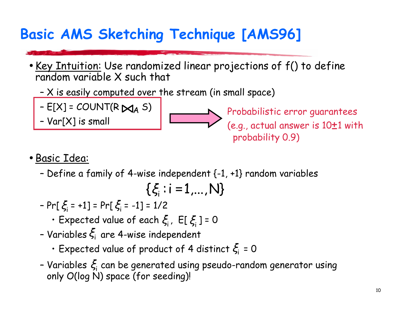#### **Basic AMS Sketching Technique [AMS96]**

- . Key Intuition: Use randomized linear projections of f() to define random variable X such that
	- X is easily computed over the stream (in small space)
	- E[X] = COUNT(R  $M_A$  S)<br>- Var[X] is small
	-

Probabilistic error guarantees (e.g., actual answer is  $10\pm 1$  with probability 0.9)

#### · Basic Idea:

- Define a family of 4-wise independent  $\{-1, +1\}$  random variables

$$
\{\xi_i:i\!=\!1,...,N\}
$$

- $Pr[\xi_i = +1] = Pr[\xi_i = -1] = 1/2$ 
	- Expected value of each  $\xi_i$ , E[ $\xi_i$ ] = 0
- Variables  $\xi$  are 4-wise independent
	- Expected value of product of 4 distinct  $\xi$  = 0
- Variables  $\xi$  can be generated using pseudo-random generator using only O(log N) space (for seeding)!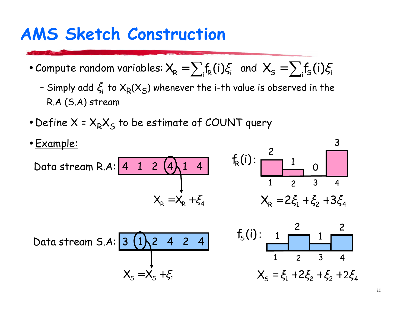## **AMS Sketch Construction**

- Compute random variables:  $X_R = \sum_i f_R(i) \xi_i$  and  $X_S = \sum_i f_S(i) \xi_i$ 
	- Simply add  $\xi$  to  $X_R(X_S)$  whenever the i-th value is observed in the R.A (S.A) stream
- Define  $X = X_R X_S$  to be estimate of COUNT query

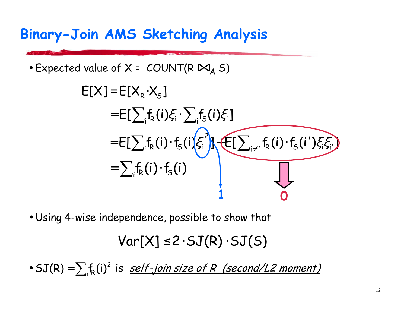#### **Binary-Join AMS Sketching Analysis**

• Expected value of  $X = COUNT(R \boxtimes_A S)$ 

$$
E[X] = E[X_{R} \cdot X_{S}]
$$
  
\n
$$
= E[\sum_{i} f_{R}(i) \xi_{i} \cdot \sum_{i} f_{S}(i) \xi_{i}]
$$
  
\n
$$
= E[\sum_{i} f_{R}(i) \cdot f_{S}(i) \xi_{i}] + E[\sum_{i \neq i} f_{R}(i) \cdot f_{S}(i') \xi_{i} \xi_{i}]
$$
  
\n
$$
= \sum_{i} f_{R}(i) \cdot f_{S}(i)
$$

. Using 4-wise independence, possible to show that

 $Var[X] \leq 2.5J(R) .5J(S)$ 

•  $SJ(R) = \sum_i f_R(i)^2$  is *self-join size of R (second/L2 moment)*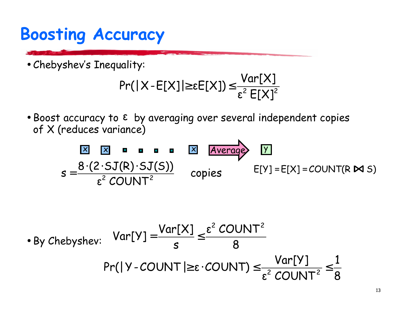# **Boosting Accuracy**

· Chebyshev's Inequality:

$$
Pr(|X - E[X]| \geq \varepsilon E[X]) \leq \frac{Var[X]}{\varepsilon^2 E[X]^2}
$$

K

• Boost accuracy to ε by averaging over several independent copies of X (reduces variance)

$$
s = \frac{8 \cdot (2 \cdot SJ(R) \cdot SJ(S))}{\epsilon^2 \text{ COUNT}^2} \quad \text{copies} \quad \text{E}[Y] = E[X] = \text{COUNT}(R \bowtie S)
$$
\n
$$
s = \frac{8 \cdot (2 \cdot SJ(R) \cdot SJ(S))}{\epsilon^2 \text{ COUNT}^2} \quad \text{copies} \quad \text{E}[Y] = E[X] = \text{COUNT}(R \bowtie S)
$$
\n
$$
Br([Y - \text{COUNT}] \ge \epsilon \cdot \text{COUNT}) \le \frac{Var[Y]}{\epsilon^2 \text{COUNT}^2} \le \frac{1}{8}
$$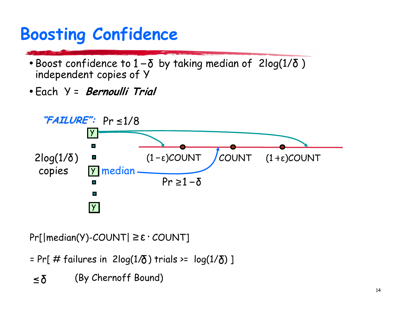# **Boosting Confidence**

- Boost confidence to  $1-\delta$  by taking median of  $2log(1/\delta)$ independent copies of Y
- Each Y = *Bernoulli Trial*



 $Pr[|median(Y)-COUNT| \ge \epsilon \cdot COUNT]$ 

= Pr[# failures in  $2log(1/\delta)$  trials >=  $log(1/\delta)$ ]

(By Chernoff Bound)  $\leq \delta$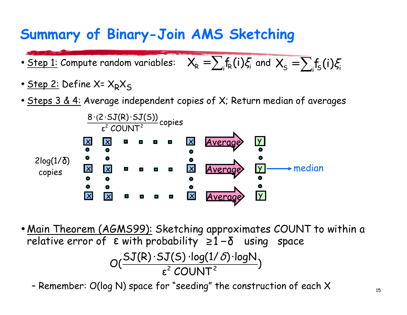#### Summary of Binary-Join AMS Sketching

- Step 1: Compute random variables:  $X_R = \sum_i f_R(i) \xi_i$  and  $X_S = \sum_i f_S(i) \xi_i$
- <u>Step 2:</u> Define X=  $X_R X_S$
- Steps  $3 \& 4$ : Average independent copies of X; Return median of averages



• <u>Main Theorem (AGMS99):</u> Sketching approximates COUNT to within a relative error of  $\epsilon$  with probability  $\geq 1-\delta$  using space  $O(\frac{SJ(R)\cdot SJ(S)\cdot log(1/\delta)\cdot logN}{\epsilon^2 CO1N T^2})$ 

- Remember:  $O(\log N)$  space for "seeding" the construction of each  $X$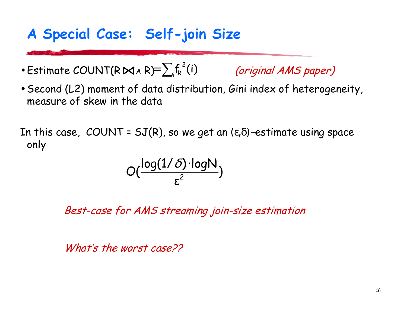#### A Special Case: Self-join Size

- Estimate COUNT(R $\bowtie$ AR)= $\sum_i f_k^2(i)$  (original AMS paper)
- Second (L2) moment of data distribution, Gini index of heterogeneity, measure of skew in the data

In this case, COUNT =  $SJ(R)$ , so we get an  $(\epsilon, \delta)$ -estimate using space only

$$
O(\frac{\log(1/\delta) \cdot \log N}{\epsilon^2})
$$

Best-case for AMS streaming join-size estimation

What's the worst case??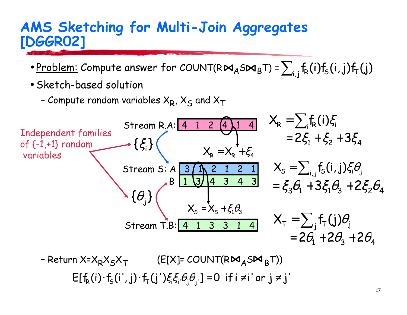#### AMS Sketching for Multi-Join Aggregates **[DGGR02]**

- Problem: Compute answer for COUNT(R $M_A$ S $M_B$ T) =  $\sum_i f_R(i) f_S(i,j) f_T(j)$
- · Sketch-based solution
	- Compute random variables  $X_R$ ,  $X_S$  and  $X_T$



 $E[f_R(i)\cdot f_S(i',j)\cdot f_T(j')\xi_i\xi_i\theta_i\theta_i] = 0$  if  $i \neq i'$  or  $j \neq j'$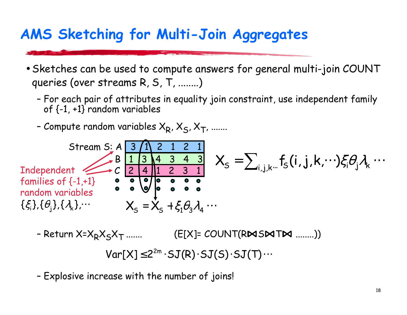#### AMS Sketching for Multi-Join Aggregates

- Sketches can be used to compute answers for general multi-join COUNT queries (over streams R, S, T, ........)
	- For each pair of attributes in equality join constraint, use independent family of  $\{-1, +1\}$  random variables
	- Compute random variables  $X_R$ ,  $X_S$ ,  $X_T$ , .......



- Return X=X<sub>R</sub>X<sub>S</sub>X<sub>T</sub> .......  $(E[X] = COUNT(RMSMTM$ ........)  $Var[X] \leq 2^{2m} \cdot SJ(R) \cdot SJ(S) \cdot SJ(T) \cdots$ 

- Explosive increase with the number of joins!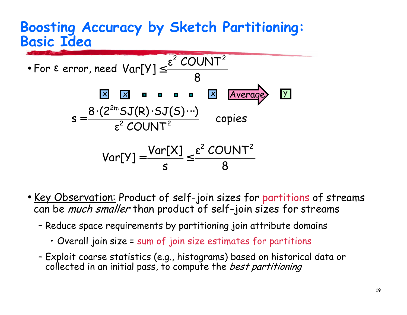#### **Boosting Accuracy by Sketch Partitioning: Basic Idea**



- . Key Observation: Product of self-join sizes for partitions of streams can be *much smaller* than product of self-join sizes for streams
	- Reduce space requirements by partitioning join attribute domains
		- Overall join size = sum of join size estimates for partitions
	- Exploit coarse statistics (e.g., histograms) based on historical data or collected in an initial pass, to compute the *best partitioning*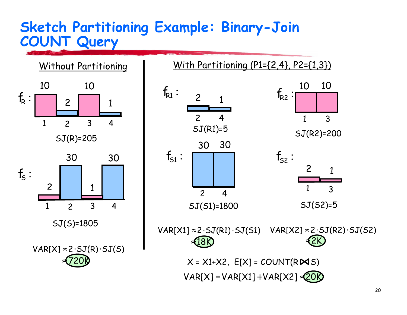#### **Sketch Partitioning Example: Binary-Join COUNT Query**



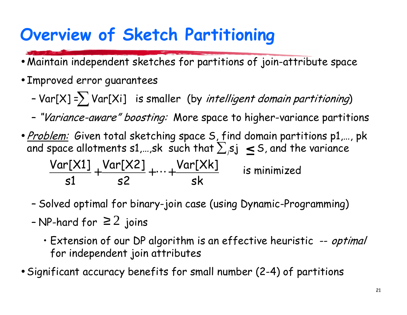# Overview of Sketch Partitioning

- Maintain independent sketches for partitions of join-attribute space
- Improved error guarantees
	- $Var[X] = \sum Var[X_i]$  is smaller (by intelligent domain partitioning)
	- "Variance-aware" boosting: More space to higher-variance partitions
- · Problem: Given total sketching space S, find domain partitions p1,..., pk and space allotments s1,...,sk such that  $\sum_{i} s_i$  < S, and the variance  $\frac{\textsf{Var}[X1]}{\textsf{s1}} + \frac{\textsf{Var}[X2]}{\textsf{s2}} + \dots + \frac{\textsf{Var}[Xk]}{\textsf{sk}}$ is minimized
	- Solved optimal for binary-join case (using Dynamic-Programming)
	- NP-hard for  $\geq 2$  joins
		- Extension of our DP algorithm is an effective heuristic -- optimal for independent join attributes
- Significant accuracy benefits for small number (2-4) of partitions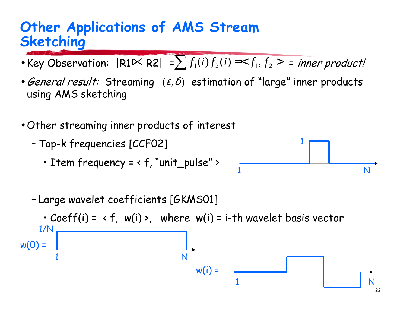#### **Other Applications of AMS Stream Sketching**

- Key Observation:  $|R1 \bowtie R2| = \sum f_1(i) f_2(i) = \langle f_1, f_2 \rangle$  = inner product!
- General result: Streaming  $(\varepsilon, \delta)$  estimation of "large" inner products using AMS sketching
- Other streaming inner products of interest
	- Top-k frequencies [CCF02]
		- . Item frequency = < f, "unit\_pulse" >



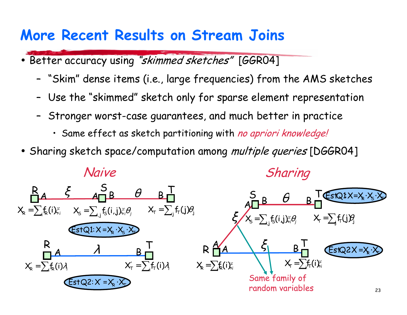#### **More Recent Results on Stream Joins**

- Better accuracy using "skimmed sketches" [GGR04]
	- "Skim" dense items (i.e., large frequencies) from the AMS sketches
	- Use the "skimmed" sketch only for sparse element representation
	- Stronger worst-case guarantees, and much better in practice
		- · Same effect as sketch partitioning with no apriori knowledge!
- · Sharing sketch space/computation among multiple queries [DGGR04]

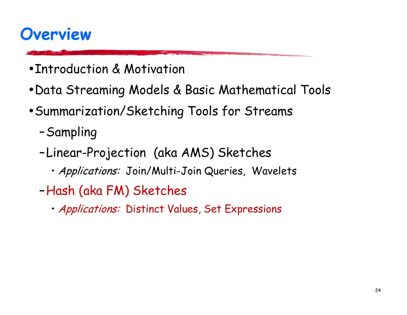### **Overview**

- Introduction & Motivation
- Data Streaming Models & Basic Mathematical Tools
- Summarization/Sketching Tools for Streams
	- -Sampling
	- -Linear-Projection (aka AMS) Sketches
		- · Applications: Join/Multi-Join Queries, Wavelets
	- -Hash (aka FM) Sketches
		- · Applications: Distinct Values, Set Expressions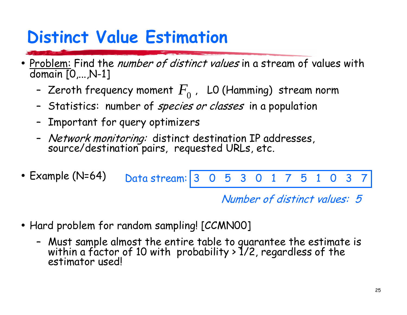# **Distinct Value Estimation**

- Problem: Find the *number of distinct values* in a stream of values with  $\bullet$ domain  $[0,...,N-1]$ 
	- Zeroth frequency moment  $F_0$ , LO (Hamming) stream norm
	- Statistics: number of *species or classes* in a population
	- Important for query optimizers
	- *Network monitoring:* distinct destination IP addresses,<br>source/destination pairs, requested URLs, etc.
- Example  $(N=64)$ Data stream: 5  $\Omega$ 3 5  $\Omega$ 3  $\Omega$

Number of distinct values: 5

- Hard problem for random sampling! [CCMN00]
	- Must sample almost the entire table to guarantee the estimate is<br>within a factor of 10 with probability > 1/2, regardless of the estimator usedl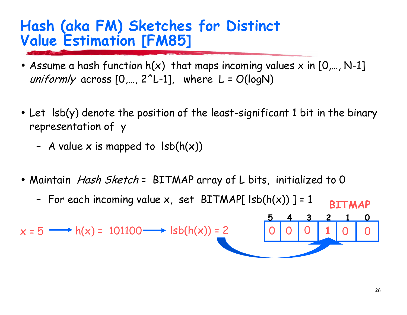#### Hash (aka FM) Sketches for Distinct **Value Estimation [FM85]**

- Assume a hash function  $h(x)$  that maps incoming values x in  $[0,..., N-1]$ uniformly across  $[0,..., 2^L-1]$ , where  $L = O(logN)$
- Let Isb(y) denote the position of the least-significant 1 bit in the binary representation of y
	- A value x is mapped to  $\text{lsb}(h(x))$
- Maintain *Hash Sketch* = BITMAP array of L bits, initialized to 0
	- For each incoming value  $x$ , set BITMAP[  $\text{lsb}(h(x))$  ] = 1 **BTTMAP**

 $x = 5 \longrightarrow h(x) = 101100 \longrightarrow \text{lsb}(h(x)) = 2$ 

 $\mathbf{3}$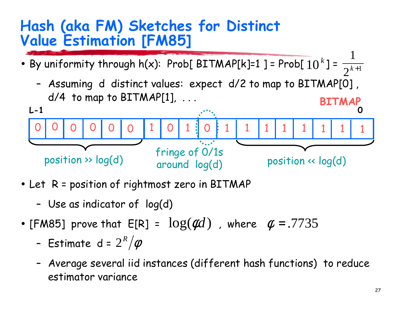#### Hash (aka FM) Sketches for Distinct **Value Estimation [FM85]**

- By uniformity through  $h(x)$ : Prob[BITMAP[k]=1] = Prob[10<sup>k</sup>] =  $\frac{1}{2^{k+1}}$ 
	- Assuming d distinct values: expect d/2 to map to BITMAP[0],  $d/4$  to map to BITMAP[1], ... **BITMAP**



- Let R = position of rightmost zero in BITMAP
	- Use as indicator of log(d)
- [FM85] prove that  $E[R] = log(\phi d)$ , where  $\phi = .7735$ 
	- Estimate d =  $2^R/\phi$
	- Average several iid instances (different hash functions) to reduce estimator variance